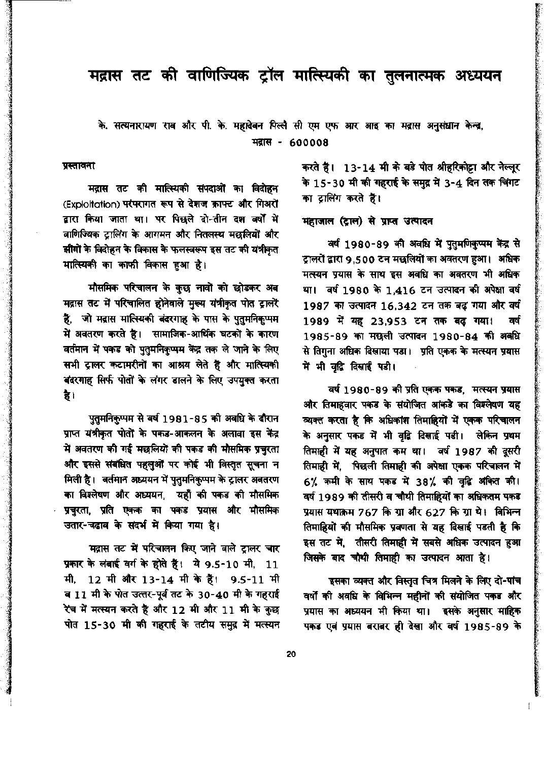### मद्रास तट की वाणिज्यिक ट्रॉल मात्स्यिकी का तुलनात्मक अध्ययन

### के. सत्यनारायण राव और पी. के. महादेवन पिल्लै सी एम एफ आर आइ का मद्रास अनुसंधान केन्द्र, मद्रास - 600008

#### प्रस्तावना

मद्रास तट की मात्स्यिकी संपदाओं का विदोहन (Exploitation) परंपरागत रूप से देशज क्राफ्ट और गिअरों द्वारा किया जाता था। पर पिछले दो-तीन दश वर्षों में वाणिज्यिक टालिंग के आगमन और नितलस्थ मछलियों और झीगों के विदोहन के विकास के फलस्वरूप इस तट की यंत्रीकृत मात्स्यिकी का काफी विकास हुआ है।

मौसमिक परिचालन के कुछ नावों को छोडकर अब मद्रास तट में परिचालित होनेवाले मुख्य यंत्रीकृत पोत ट्रालरें हैं, जो मद्रास मात्स्यिकी बंदरगाह के पास के पुतुमनिकुप्पम में अवतरण करते हैं। सामाजिक-आर्थिक घटकों के कारण वर्तमान में पकड को पुतुमनिकुप्पम केंद्र तक ले जाने के लिए सभी ट्रालर कटामरीनों का आश्रय लेते हैं और मात्स्यिकी बंदरगाह सिर्फ पोतों के लंगर डालने के लिए उपयुक्त करता है।

पुतुमनिकुप्पम से वर्ष 1981-85 की अवधि के दौरान प्राप्त यंत्रीकृत पोतों के पकड-आकलन के अलावा इस केंद्र में अवतरण की गई मछलियों की पकड की मौसमिक प्रचुरता और इससे संबंधित पहलुओं पर कोई भी विस्तृत सूचना न मिली है। वर्तमान अध्ययन में पुतुमनिकुप्पम के ट्रालर अवतरण का विश्लेषण और अध्ययन, यहाँ की पकड की मौसमिक प्रचुरता, प्रति एकक का पकड प्रयास और मौसमिक उतार-चढ़ाव के संदर्भ में किया गया है।

मद्रास तट में परिचालन किए जाने वाले ट्रालर चार प्रकार के लंबाई वर्ग के होते हैं। ये 9.5-10 मी, 11 12 मी और 13-14 मी के हैं। 9.5-11 मी मी. व 11 मी के पोत उत्तर-पूर्व तट के 30-40 मी के गहराई रेंच में मत्स्यन करते हैं और 12 मी और 11 मी के कुछ पोत 15-30 मी की गहराई के तटीय समुद्र में मत्स्यन करते हैं। 13-14 मी के बड़े पोत श्रीहरिकोट्टा और नेल्लूर के 15-30 मी की गहराई के समुद्र में 3-4 दिन तक चिंगट का ट्रालिंग करते हैं।

#### महाजाल (द्राल) से प्राप्त उत्पादन

वर्ष 1980-89 की अवधि में पुतुमणिकुप्पम केंद्र से ट्रालरों द्वारा 9,500 टन मछलियों का अवतरण हुआ। अधिक मत्स्यन प्रयास के साथ इस अवधि का अवतरण भी अधिक था। वर्ष 1980 के 1,416 टन उत्पादन की अपेक्षा वर्ष 1987 का उत्पादन 16,342 टन तक बढ़ गया और वर्ष 1989 में यह 23,953 टन तक बढ़ गया। वर्ष 1985-89 का मछली उत्पादन 1980-84 की अवधि से तिगुना अधिक दिखाया पडा। प्रति एकक के मत्स्यन प्रयास में भी वृद्धि दिखाई पड़ी।

वर्ष 1980-89 की प्रति एकक पकड, मत्स्यन प्रयास और तिमाहवार पकड के संयोजित आंकडे का विश्लेषण यह व्यक्त करता है कि अधिकांश तिमाहियों में एकक परिचालन के अनुसार पकड में भी वृद्धि दिखाई पडी। लेकिन प्रथम तिमाही में यह अनुपात कम था। वर्ष 1987 की दूसरी तिमाही में, पिछली तिमाही की अपेक्षा एकक परिचालन में 6% कमी के साथ पकड में 38% की वृद्धि अंकित की। वर्ष 1989 की तीसरी व चौथी तिमाहियों का अधिकतम पकड प्रयास यथाक्रम 767 कि ग्रा और 627 कि ग्रा थे। विभिन्न तिमाहियों की मौसमिक प्रवणता से यह दिखाई पडती है कि इस तट में, तीसरी तिमाही में सबसे अधिक उत्पादन हुआ जिसके बाद चौथी तिमाही का उत्पादन आता है।

इसका व्यक्त और विस्तृत चित्र मिलने के लिए दो-पांच वर्षों की अवधि के विभिन्न महीनों की संयोजित पकड और प्रयास का अध्ययन भी किया था। इसके अनुसार माहिक पकड़ एवं प्रयास बराबर ही देखा और वर्ष 1985-89 के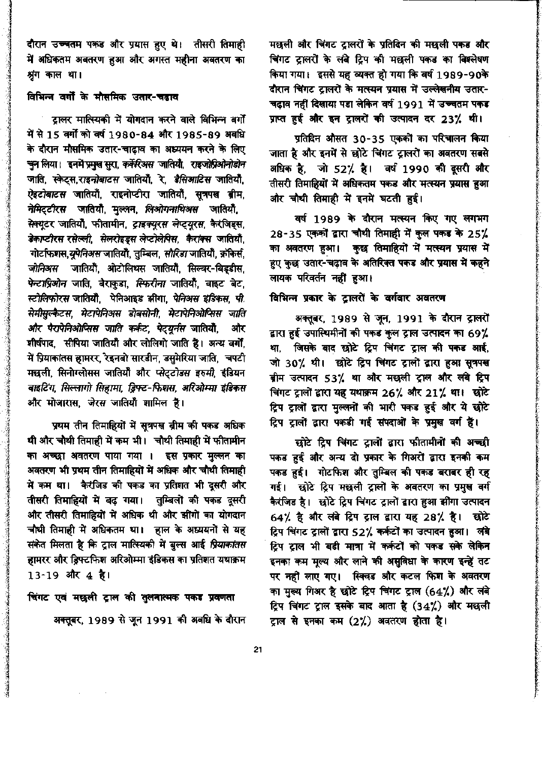दौरान उच्चतम पकड और प्रयास हुए थे। तीसरी तिमाही में अधिकतम अवतरण हुआ और अगस्त महीना अवतरण का श्रृंग काल था।

### विभिन्न वर्गों के मौसमिक उतार-चढाव

ट्रालर मात्स्यिकी में योगदान करने वाले विभिन्न बर्गों में से 15 वर्गों को वर्ष 1980-84 और 1985-89 अवधि के दौरान मौसमिक उतार-चाढाव का अध्ययन करने के लिए चुन लिया। इनमें प्रमुख सुरा, *कर्नेरिअस* जातियों, राइजोप्रिओनोडोन जाति, स्केट्स,राइनोबाटस जातियौं, रे, डैसिआटिस जातियौं, *ऐइटोबाटस* जातियाँ, राइनोप्टीरा जातियाँ, सूत्रप<mark>स ब्रीम,</mark> नेमिट्टीरस जातियौँ, मुल्लन, लिओगनाथिअस जातियौँ, सेक्युटर जातियों, फीतामीन, ट्राइक्युरस लेप्ट्युरस, कैरंजिड्स, डेकाप्टीरस रसेल्ली, सेलरोइड्स लेप्टोलेपिस, कैरांक्स जातियाँ, गोर्टाफशस,यूपेनिअस जातियाँ, तुम्बिल, सौरिडा जातियाँ, क्रॉकेर्स, जोनिअस जातियाँ, ओटोलिथस जातियाँ, सिल्वर-बिड्डीस, पेन्टाप्रिओन जाति, बैराकुडा, स्फिरीना जातियौ, वाइट बेट, स्टोलिफोरस जातियाँ, पेनिआइड झींगा, पेनिअस इंडिकस, पी. सेमीसुल्कैटस, मेटापेनिअस डोबसोनी, मेटापेनिओप्सिस जाति और पैरापेनिओप्सिस जाति कर्कट, पेट्यूर्नस जातियौं, और शीर्षपाद, सीपिया जातियाँ और लोलिगो जाति है। अन्य वर्गो, में प्रियाकांतस हामरर, रेइनबो सारडीन, डसुमेरिया जाति, चपटी मछली, सिनोग्लोसस जातियौं और प्लेट्टोडस इरुमी, इंडियन वाइटिंग, सिल्लागो सिहामा, ड्रिफ्ट-फिशस, अरिओम्मा इंडिकस और मोजारास, जेरस जातियों शामिल है।

प्रथम तीन तिमाहियों में सूत्रपस्र ब्रीम की पकड अधिक थी और चौथी तिमाही में कम भी। चौथी तिमाही में फीतामीन का अच्छा अवतरण पाया गया । इस प्रकार मुल्लन का अवतरण भी प्रथम तीन तिमाहियों में अधिक और चौथी तिमाही में कम था। कैरंजिड की पकड का प्रतिशत भी दूसरी और तीसरी तिमाहियों में बढ़ गया। तुम्बिलों की पकड दूसरी और तीसरी तिमाहियों में अधिक थी और झींगों का योगदान चौथी तिमाही में अधिकतम था। हाल के अध्ययनों से यह संकेत मिलता है कि ट्राल मात्स्यिकी में बुल्स आई प्रियाकांतस हामरर और ड्रिफ्टफिश अरिओम्मा इंडिकस का प्रतिशत यथाक्रम 13-19 और 4 है।

चिंगट एवं मछली ट्राल की तुलनात्मक पकड प्रवणता अक्तूबर, 1989 से जून 1991 की अवधि के दौरान

मछली और चिंगट ट्रालरों के प्रतिदिन की मछली पकड और चिंगट ट्रालरों के लंबे ट्रिप की मछली पकड का विश्लेषण किया गया। इससे यह व्यक्त हो गया कि वर्ष 1989-90के दौरान चिंगट टालरों के मत्स्यन प्रयास में उल्लेखनीय उतार-चढ़ाव नहीं दिखाया पडा लेकिन वर्ष 1991 में उच्चतम पकड प्राप्त हुई और इन ट्रालरों की उत्पादन दर 23% थी।

प्रतिदिन औसत 30-35 एककों का परिचालन किया जाता है और इनमें से छोटे चिंगट ट्रालरों का अवतरण सबसे अधिक है, जो 52% है। वर्ष 1990 की दूसरी और तीसरी तिमाहियों में अधिकतम पकड और मत्स्यन प्रयास हुआ और चौथी तिमाही में इनमें घटती हुई।

वर्ष 1989 के दौरान मत्स्यन किए गए लगभग 28-35 एकको द्वारा चौथी तिमाही में कुल पकड के 25% का अवतरण हुआ। कुछ तिमाहियों में मत्स्यन प्रया<del>स</del> में हुए कुछ उतार-चढ़ाव के अतिरिक्त पकड और प्रयास में कहने लायक परिवर्तन नहीं हुआ।

#### विभिन्न प्रकार के ट्रालरों के वर्गवार अवतरण

अक्तूबर, 1989 से जून, 1991 के दौरान ट्रालरों द्वारा हुई उपास्थिमीनों की पकड कुल ट्राल उत्पादन का 69% था, जिसके बाद छोटे ट्रिप चिंगट ट्राल की पकड आई, जो 30% थी। छोटे ट्रिप चिंगट ट्रालों द्वारा हुआ सुत्रपख बीम उत्पादन 53% था और मछली ट्राल और लंबे ट्रिप चिंगट ट्रालों द्वारा यह यथाक्रम 26% और 21% था। छोटे ट्रिप ट्रालों द्वारा मुल्लनों की भारी पकड हुई और ये छोटे ट्रिप ट्रालों द्वारा पकडी गई संपदाओं के प्रमुख वर्ग हैं।

छोटे ट्रिप चिंगट ट्रालों द्वारा फीतामीनों की अच्छी पकड हुई और अन्य दो प्रकार के गिअरों द्वारा इनकी कम पकड हुई। गोटफिश और तुम्बिल की पकड बराबर ही रह गई। छोटे ट्रिप मछली ट्रालों के अवतरण का प्रमुख वर्ग .<br>कैरंजिड है। छोटे ट्रिप चिंगट ट्रालों द्वारा हुआ झींगा उत्पादन 64% है और लंबे ट्रिप ट्राल द्वारा यह 28% है। छोटे ट्रिप चिंगट ट्रालों द्वारा 52% कर्कटों का उत्पादन हुआ। लंबे ट्रिप ट्राल भी बडी मात्रा में कर्कटों को पकड सके लेकिन इनका कम मूल्य और लाने की असुविधा के कारण इन्हें तट पर नहीं लाए गए। स्विचड और कटल फिश के अवतरण का मुख्य गिअर है छोटे ट्रिप चिंगट ट्राल (64%) और लंबे ट्रिप चिंगट ट्राल इसके बाद आता है (34%) और मछली ट्राल से इनका कम (2%) अवतरण होता है।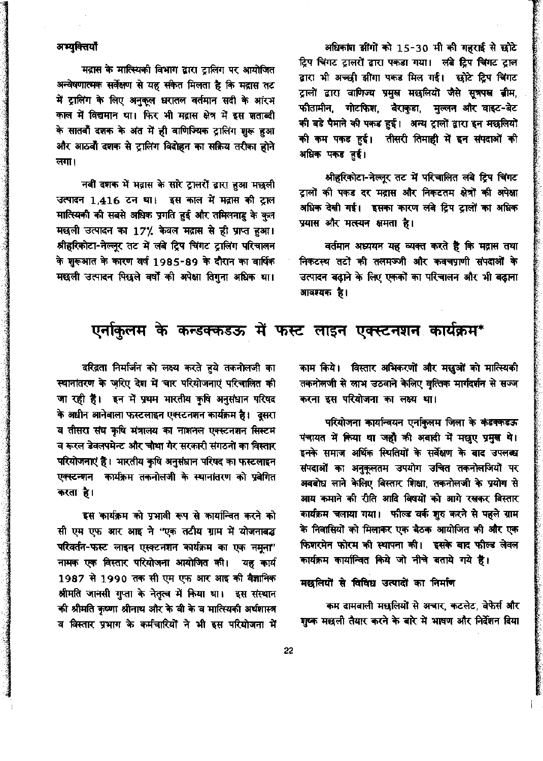### अभ्युक्तियाँ

मद्रास के मात्स्यिकी विभाग द्वारा ट्रालिंग पर आयोजित अन्वेषणात्मक सर्वेक्षण से यह संकेत मिलता है कि मद्रास तट में ट्रालिंग के लिए अनुकूल धरातल वर्तमान सदी के आंरम काल में विद्यमान था। फिर भी मद्रास क्षेत्र में इस शताब्दी के सातवाँ दशक के अंत में ही वाणिज्यिक ट्रालिंग शुरू हुआ और आठवाँ दशक से ट्रालिंग विदोहन का सक्रिय तरीका होने लगा।

नवीं दशक में मद्रास के सारे ट्रालरों द्वारा हुआ मछली उत्पादन 1,416 टन था। इस काल में मद्रास की ट्राल मात्स्यिकी की सबसे अधिक प्रगति हुई और तमिलनाडु के कुल मछली उत्पादन का 17% केवल मद्रास से ही प्राप्त हुआ। श्रीहरिकोटा-नेल्लुर तट में लंबे ट्रिप चिंगट ट्रालिंग परिचालन के शुरूआत के कारण वर्ष 1985-89 के दौरान का वार्षिक मछली उत्पादन पिछले वर्षों की अपेक्षा तिगुना अधिक था।

अधिकांश झींगों को 15-30 मी की गहराई से छोटे ट्रिप चिंगट ट्रालरों द्वारा पकडा गया। लंबे ट्रिप चिंगट ट्राल द्वारा भी अच्छी झींगा पकड मिल गई। छोटे ट्रिप चिंगट ट्रालों द्वारा वाणिज्य प्रमुख मछलियों जैसे सुत्रपस्त बीम, फीतामीन, गोटफिश, बैराकुडा, मुल्लन और वाइट-बेट की बडे पैमाने की पकड हुई। अन्य ट्रालों द्वारा इन मछलियों की कम पकड हुई। तीसरी तिमाही में इन संपदाओं की अधिक पकड हुई।

श्रीहरिकोटा-नेल्लूर तट में परिचालित लंबे ट्रिप चिंगट ट्रालों की पकड दर मद्रास और निकटतम क्षेत्रों की अपेक्षा अधिक देखी गई। इसका कारण लंबे ट्रिप ट्रालों का अधिक प्रयास और मत्स्यन क्षमता है।

वर्तमान अध्ययन यह व्यक्त करते हैं कि मद्रास तथा निकटस्थ तटों की तलमज्जी और कवचप्राणी संपदाओं के उत्पादन बढ़ाने के लिए एककों का परिचालन और भी बढ़ाना आवश्यक है।

### एर्नाकुलम के कन्डक्कडऊ में फस्ट लाइन एक्स्टनशन कार्यक्रम\*

काम किये। विस्तार अभिकरणों और मछुओं को मात्स्यिकी तकनोलजी से लाभ उठवाने केलिए वृत्तिक मार्गदर्शन से सज्ज करना इस परियोजना का लक्ष्य था।

परियोजना कार्यान्वयन एर्नाकुलम जिला के कंडक्कडऊ पंचायत में किया था जहाँ की अबादी में मछुए प्रमुख थे। इनके समाज अर्थिक स्थितियों के सर्वेक्षण के बाद उपलब्ध संपदाओं का अनुकूलतम उपयोग उचित तकनोलजियों पर अवबोध लाने केलिए विस्तार शिक्षा, तकनोलजी के प्रयोग से आय कमाने की रीति आदि विषयों को आगे रखकर विस्तार कार्यक्रम चलाया गया। फील्ड वर्क शुरु करने से पहले ग्राम के निवासियों को मिलाकर एक बैठक आयोजित की और एक फिशरमेन फोरम की स्थापना की। इसके बाद फील्ड लेवल कार्यक्रम कार्यान्वित किये जो नीचे बताये गये हैं।

मछलियों से विविध उत्पादों का निर्माण

कम दामवाली मछलियों से अचार, कटलेट, वेफेर्स और शुष्क मछली तैयार करने के बारे में भाषण और निर्देशन दिया

दरिद्रता निर्मार्जन को लक्ष्य करते हुये तकनोलजी का स्थानांतरण के ज़रिए देश में चार परियोजनाएं परिचालित की जा रही है। इन में प्रथम भारतीय कृषि अनुसंधान परिषद के अधीन आनेवाला फस्टलाइन एक्स्टनशन कार्यक्रम है। दूसरा व तीसरा संघ कृषि मंत्रालय का नाशनल एक्स्टनशन सिस्टम व रूरल डेवलपमेन्ट और चौथा गैर सरकारी संगठनों का विस्तार परियोजनाएं है। भारतीय कृषि अनुसंधान परिषद का फस्टलाइन एक्स्टन्शन कार्यक्रम तकनोलजी के स्थानांतरण को प्रवेगित करता है।

इस कार्यक्रम को प्रभावी रूप से कार्यान्वित करने को सी एम एफ आर आइ ने "एक तटीय ग्राम में योजनाबद्ध परिवर्तन-फस्ट लाइन एस्क्टनशन कार्यक्रम का एक नमुना' नामक एक विस्तार परियोजना आयोजित की। यह कार्य 1987 से 1990 तक सी एम एफ आर आइ की वैज्ञानिक श्रीमति जानसी गुप्ता के नेतृत्व में किया था। इस संस्थान की श्रीमति कृष्णा श्रीनाथ और के वी के व मात्स्यिकी अर्थशास्त्र व विस्तार प्रभाग के कर्मचारियों ने भी इस परियोजना में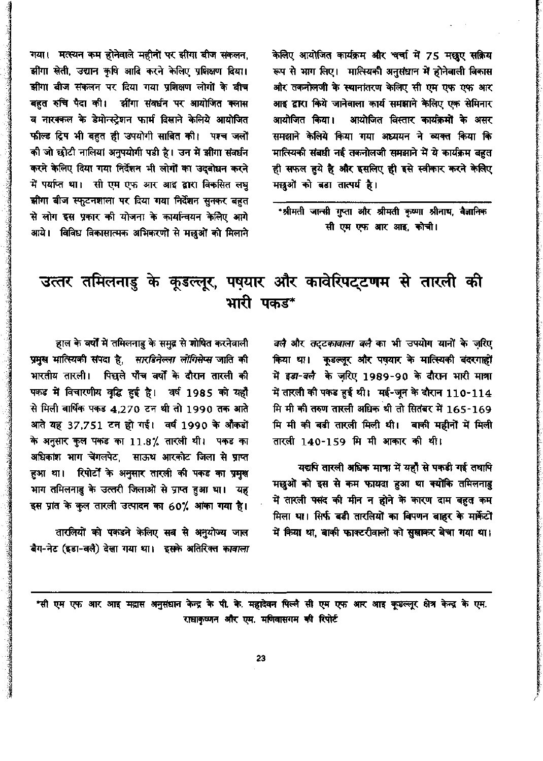केलिए आयोजित कार्यक्रम और चर्चा में 75 मछूए सक्रिय रूप से भाग लिए। मात्स्यिकी अनुसंधान में होनेवाली विकास और तकनोलजी के स्थानांतरण केलिए सी एम एफ एफ आर आइ द्वारा किये जानेवाला कार्य समझाने केलिए एक सेमिनार आयोजित विस्तार कार्यक्रमों के असर आयोजित किया। समझाने केलिये किया गया अध्ययन ने व्यक्त किया कि मात्स्यिकी संबधी नई तकनोलजी समझाने में ये कार्यक्रम बहुत ही सफल हुये है और इसलिए ही इसे स्वीकार करने केलिए मछुओं को बड़ा तात्पर्य है।

\*श्रीमती जान्सी गुप्ता और श्रीमती कृष्णा श्रीनाथ, वैज्ञानिक सी एम एफ आर आइ. कोची।

गया। मत्स्यन कम होनेवाले महीनों पर झींगा बीज संकलन, झींगा खेती, उद्यान कृषि आदि करने केलिए प्रशिक्षण दिया। झींगा बीज संकलन पर दिया गया प्रशिक्षण लोगों के बीच बहुत रुचि पैदा की। सींगा संवर्धन पर आयोजित क्लास व नारक्कल के डेमोन्स्ट्रेशन फार्म दिखाने केलिये आयोजित फील्ड ट्रिप भी बहुत ही उपयोगी साबित की। पश्च जलों की जो छोटी नालियां अनुपयोगी पडी है। उन में झींगा संवर्धन करने केलिए दिया गया निर्देशन भी लोगों का उदबोधन करने में पर्याप्त था। सी एम एफ आर आइ द्वारा विकसित लघु झींगा बीज स्फुटनशाला पर दिया गया निर्देशन सुनकर बहुत से लोग इस प्रकार की योजना के कार्यान्वयन केलिए आगे आये। विविध विकासात्मक अभिकरणों से मछुओं को मिलाने

## उत्तर तमिलनाडु के कूडल्लूर, पषयार और कावेरिपट्टणम से तारली की भारी पकड\*

*वलै और तद्टकावाला वलै* का भी उपयोग यानों के ज़रिए किया था। कूडल्लूर और पषयार के मात्स्यिकी बंदरगाहों में इड़ा-वलै के ज़रिए 1989-90 के दौरान भारी मात्रा में तारली की पकड हुई थी। मई-जून के दौरान 110-114 मि मी की तरुण तारली अधिक थी तो सितंबर में 165-169 मि मी की बडी तारली मिली थी। बाकी महीनों में मिली तारली 140-159 मि मी आकार की थी।

यद्यपि तारली अधिक मात्रा में यहाँ से पकडी गई तथापि मछुओं को इस से कम फायदा हुआ था क्योंकि तमिलनाडु में तारली पसंद की मीन न होने के कारण दाम बहुत कम मिला था। सिर्फ बड़ी तारलियों का विपणन बाहर के मार्केटों में किया था, बाकी फाक्टरीवालों को सुखाकर बेचा गया था।

हाल के वर्षों में तमिलनाडु के समुद्र से शोषित करनेवाली प्रमुख मात्स्यिकी संपदा है, सारडिनेल्ला लोगिसेप्स जाति की भारतीय तारली। पिछले पाँच वर्षों के दौरान तारली की पकड में विचारणीय वृद्धि हुई है। वर्ष 1985 को यहाँ से मिली वार्षिक पकड 4.270 टन थी तो 1990 तक आते आते यह 37,751 टन हो गई। वर्ष 1990 के औंकडों के अनुसार कुल पकड का 11.8% तारली थी। पकड का अधिकांश भाग चेंगलपेट, साऊथ आरकोट जिला से प्राप्त हुआ था। रिपोर्टों के अनुसार तारली की पकड का प्रमुख भाग तमिलनाडु के उत्तरी जिलाओं से प्राप्त हुआ था। यह इस प्रांत के कुल तारली उत्पादन का 60% आंका गया है।

तारलियों को पकडने केलिए सब से अनुयोज्य जाल बैग-नेट (इडा-वलै) देखा गया था। इसके अतिरिक्त कावाला

\*सी एम एफ आर आइ मद्रास अनुसंधान केन्द्र के पी. के. महादेवन पिल्लै सी एम एफ आर आइ कूडल्लूर क्षेत्र केन्द्र के एम. राधाकृष्णन और एम. मणिवासगम की रिपोर्ट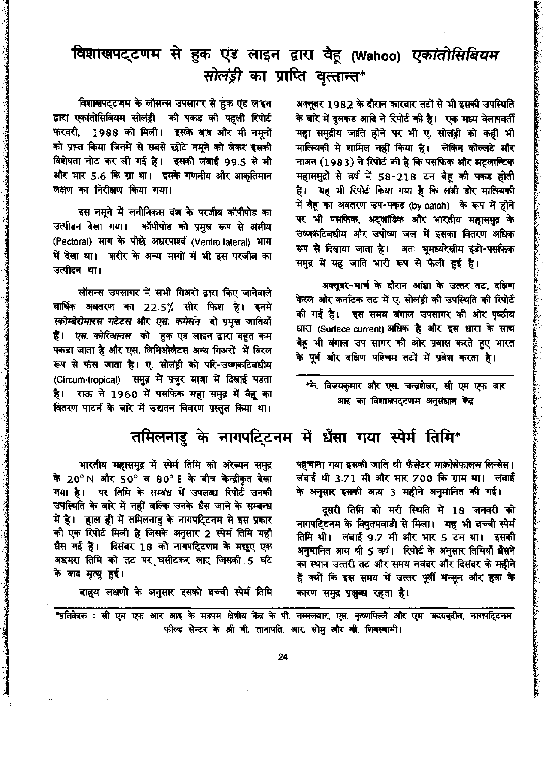## विशाखपट्टणम से हुक एंड लाइन द्वारा वैहू (Wahoo) *एकांतोसिबियम* सोलंड़ी का प्राप्ति वृत्तान्त\*

विशाखपट्टणम के लौसन्स उपसागर से हुक एंड लाइन द्वारा एकांतोसिबियम सोलंड्री की पकड की पहली रिपोर्ट फरवरी, 1988 को मिली। इसके बाद और भी नमूनों को प्राप्त किया जिनमें से सबसे छोटे नमने को लेकर इसकी विशेषता नोट कर ली गई है। इसकी लंबाई 99.5 से मी और भार 5.6 कि ग्रा था। इसके गणनीय और आकृतिमान लक्षण का निरीक्षण किया गया।

इस नमूने में लनीनिकस वंश के परजीव कॉपीपोड का उत्पीडन देखा गया। कॉपीपोड को प्रमुख रूप से अंसीय (Pectoral) भाग के पीछे अधरपार्श्व (Ventro lateral) भाग में देखा था। शरीर के अन्य भागों में भी इस परजीव का उत्पीडन था।

लॉसन्स उपसागर में सभी गिअरों द्वारा किए जानेवाले वार्षिक अवतरण का 22.5% सीर फिश है। इनमें स्कोम्बेरोमारस गटेटस और एस. कमेर्सन वो प्रमुख जातियाँ हैं। *एस. कोरिआनस* को हुक एंड लाइन द्वारा बहुत कम पकड़ा जाता है और एस. लिनिओलैटस अन्य गिअरों में विरल रूप से फंस जाता है। ए. सोलंड़ी को परि-उष्णकटिबंधीय (Circum-tropical) समुद्र में प्रचुर मात्रा में दिखाई पडता है। राऊ ने 1960 में पसफिक महा समुद्र में वैद्व का वितरण पाटर्न के बारे में उद्यतन विवरण प्रस्तुत किया था।

अक्तूबर 1982 के दौरान कारवार तटों से भी इसकी उपस्थिति के बारे में दुलकड आदि ने रिपोर्ट की है। एक मध्य वेलापवर्ती महा समुद्रीय जाति होने पर भी ए. सोलंड्री को कहीं भी मात्स्यिकी में शामिल नहीं किया है। लेकिन कोल्लटे और नाअन (1983) ने रिपोर्ट की है कि पसफिक और अट्रलान्टिक महासमुद्रों से वर्ष में 58-218 टन वैह की पकड़ होती है। यह भी रिपोर्ट किया गया है कि लंबी डोर मात्स्यिकी में वैह का अवतरण उप-पकड (by-catch) के रूप में होने पर भी पसफिक, अट्लांडिक और भारतीय महासमुद्र के उष्णकटिबंधीय और उपोष्ण जल में इसका वितरण अधिक रूप से दिखाया जाता है। अतः भूमध्यरेखीय इंडो-पसफिक समुद्र में यह जाति भारी रूप से फैली हुई है।

अक्तूबर-मार्च के दौरान आंध्रा के उत्तर तट, दक्षिण केरल और कर्नाटक तट में ए. सोलंड्री की उपस्थिति की रिपोर्ट की गई है। इस समय बंगाल उपसागर की ओर पृष्ठीय धारा (Surface current) अधिक है और इस धारा के साथ वैह भी बंगाल उप सागर की ओर प्रवास करते हुए भारत के पूर्व और दक्षिण पश्चिम तटों में प्रवेश करता है।

\*के. विजयकुमार और एस. चन्द्रशेखर, सी एम एफ आर आइ का विशाखपट्टणम अनुसंघान केंद्र

### तमिलनाडु के नागपटि्टनम में धैंसा गया स्पेर्म तिमि\*

पहचाना गया इसकी जाति थी फै*सेटर माक्रोसेफालस* लिन्सेस। लंबाई थी 3.71 मी और भार 700 कि ग्राम था। लंबाई के अनुसार इसकी आय 3 महीने अनुमानित की गई।

दूसरी तिमि को मरी स्थिति में 18 जनवरी को नागपटि्टनम के विषुतमवाडी से मिला। यह भी बच्ची स्पेर्म तिमि थी। लंबाई 9.7 मी और भार 5 टन था। इसकी अनुमानित आय थी 5 वर्ष। रिपोर्ट के अनुसार तिमियाँ धैंसने का स्थान उत्तरी तट और समय नवंबर और दिसंबर के महीने हैं क्यों कि इस समय में उत्तर पूर्वी मन्सून और हवा के कारण समुद्र प्र<mark>क्षुक्</mark>ध रहता है।

भारतीय महासमुद्र में स्पेर्म तिमि को अरेब्यन समुद्र के 20°N और 50° व 80°E के बीच केन्द्रीकृत देखा गया है। पर तिमि के सम्बंध में उपलब्ध रिपोर्ट उनकी उपस्थिति के बारे में नहीं बल्कि उनके धैंस जाने के सम्बन्ध में है। हाल ही में तमिलनाडु के नागपटि्टनम से इस प्रकार की एक रिपोर्ट मिली है जिसके अनुसार 2 स्पेर्म तिमि यहाँ धैस गई हैं। दिसंबर 18 को नागपटि्टणम के मछुए एक अधमरा तिमि को तट पर घसीटकर लाए जिसकी 5 घटे के बाद मृत्यु हुई।

बाह्य लक्षणों के अनुसार इसको बच्ची स्पेर्म तिमि

"प्रतिवेदक : सी एम एफ आर आइ के मंडपम क्षेत्रीय केंद्र के पी. नम्मलवार, एस. कृष्णपिल्लै और एम. बदरुदुदीन, नागपदि्टनम फील्ड सेन्टर के श्री वी. तानापति, आर. सोमु और वी. शिवस्वामी।